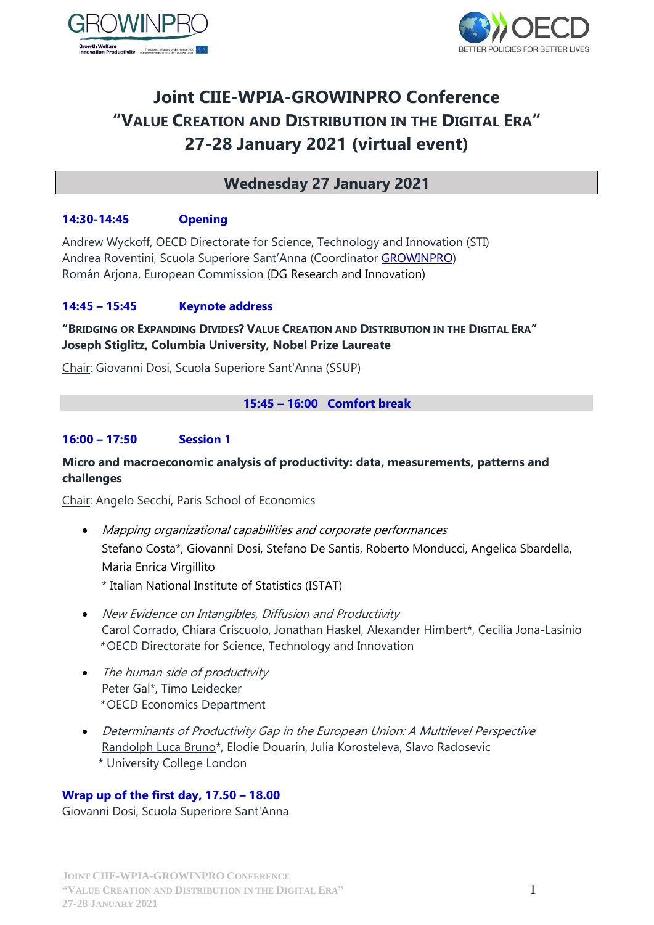



# **Joint CIIE-WPIA-GROWINPRO Conference "VALUE CREATION AND DISTRIBUTION IN THE DIGITAL ERA" 27-28 January 2021 (virtual event)**

# **Wednesday 27 January 2021**

# **14:30-14:45 Opening**

Andrew Wyckoff, OECD Directorate for Science, Technology and Innovation (STI) Andrea Roventini, Scuola Superiore Sant'Anna (Coordinator [GROWINPRO\)](http://www.growinpro.eu/) Román Arjona, European Commission (DG Research and Innovation)

# **14:45 – 15:45 Keynote address**

#### **"BRIDGING OR EXPANDING DIVIDES? VALUE CREATION AND DISTRIBUTION IN THE DIGITAL ERA" Joseph Stiglitz, Columbia University, Nobel Prize Laureate**

Chair: Giovanni Dosi, Scuola Superiore Sant'Anna (SSUP)

#### **15:45 – 16:00 Comfort break**

#### **16:00 – 17:50 Session 1**

#### **Micro and macroeconomic analysis of productivity: data, measurements, patterns and challenges**

Chair: Angelo Secchi, Paris School of Economics

- Mapping organizational capabilities and corporate performances Stefano Costa\*, Giovanni Dosi, Stefano De Santis, Roberto Monducci, Angelica Sbardella, Maria Enrica Virgillito
	- \* Italian National Institute of Statistics (ISTAT)
- New Evidence on Intangibles, Diffusion and Productivity Carol Corrado, Chiara Criscuolo, Jonathan Haskel, Alexander Himbert\*, Cecilia Jona-Lasinio \* OECD Directorate for Science, Technology and Innovation
- The human side of productivity Peter Gal\*, Timo Leidecker \* OECD Economics Department
- Determinants of Productivity Gap in the European Union: A Multilevel Perspective Randolph Luca Bruno\*, Elodie Douarin, Julia Korosteleva, Slavo Radosevic \* University College London

#### **Wrap up of the first day, 17.50 – 18.00**

Giovanni Dosi, Scuola Superiore Sant'Anna